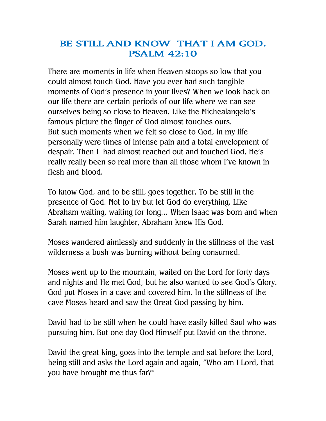## **BE STILL AND KNOW THAT I AM GOD. PSALM 42:10**

There are moments in life when Heaven stoops so low that you could almost touch God. Have you ever had such tangible moments of God's presence in your lives? When we look back on our life there are certain periods of our life where we can see ourselves being so close to Heaven. Like the Michealangelo's famous picture the finger of God almost touches ours. But such moments when we felt so close to God, in my life personally were times of intense pain and a total envelopment of despair. Then I had almost reached out and touched God. He's really really been so real more than all those whom I've known in flesh and blood.

To know God, and to be still, goes together. To be still in the presence of God. Not to try but let God do everything. Like Abraham waiting, waiting for long… When Isaac was born and when Sarah named him laughter, Abraham knew His God.

Moses wandered aimlessly and suddenly in the stillness of the vast wilderness a bush was burning without being consumed.

Moses went up to the mountain, waited on the Lord for forty days and nights and He met God, but he also wanted to see God's Glory. God put Moses in a cave and covered him. In the stillness of the cave Moses heard and saw the Great God passing by him.

David had to be still when he could have easily killed Saul who was pursuing him. But one day God Himself put David on the throne.

David the great king, goes into the temple and sat before the Lord, being still and asks the Lord again and again, "Who am I Lord, that you have brought me thus far?"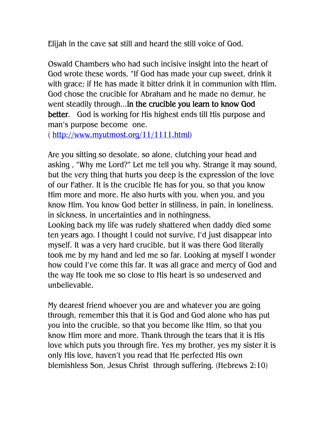Elijah in the cave sat still and heard the still voice of God.

Oswald Chambers who had such incisive insight into the heart of God wrote these words, "If God has made your cup sweet, drink it with grace; if He has made it bitter drink it in communion with Him. God chose the crucible for Abraham and he made no demur, he went steadily through...**in the crucible you learn to know God better**. God is working for His highest ends till His purpose and man's purpose become one.

( [http://www.myutmost.org/11/1111.html\)](http://www.myutmost.org/11/1111.html)

Are you sitting so desolate, so alone, clutching your head and asking , "Why me Lord?" Let me tell you why. Strange it may sound, but the very thing that hurts you deep is the expression of the love of our Father. It is the crucible He has for you, so that you know Him more and more. He also hurts with you, when you, and you know Him. You know God better in stillness, in pain, in loneliness, in sickness, in uncertainties and in nothingness.

Looking back my life was rudely shattered when daddy died some ten years ago. I thought I could not survive, I'd just disappear into myself. It was a very hard crucible, but it was there God literally took me by my hand and led me so far. Looking at myself I wonder how could I've come this far. It was all grace and mercy of God and the way He took me so close to His heart is so undeserved and unbelievable.

My dearest friend whoever you are and whatever you are going through, remember this that it is God and God alone who has put you into the crucible, so that you become like Him, so that you know Him more and more. Thank through the tears that it is His love which puts you through fire. Yes my brother, yes my sister it is only His love, haven't you read that He perfected His own blemishless Son, Jesus Christ through suffering. (Hebrews 2:10)